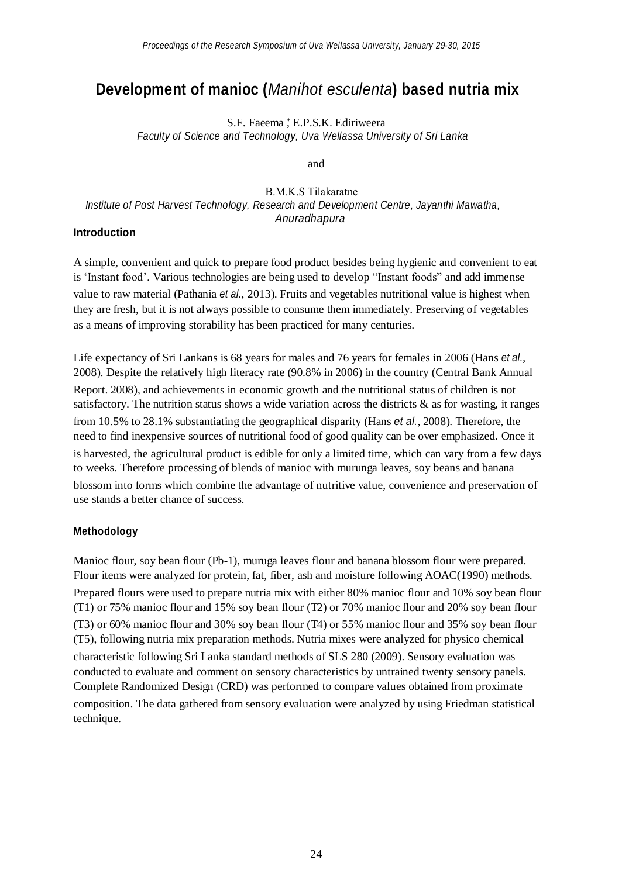# **Development of manioc (***Manihot esculenta***) based nutria mix**

S.F. Faeema , E.P.S.K. Ediriweera *Faculty of Science and Technology, Uva Wellassa University of Sri Lanka*

and

## B.M.K.S Tilakaratne *Institute of Post Harvest Technology, Research and Development Centre, Jayanthi Mawatha, Anuradhapura*

#### **Introduction**

A simple, convenient and quick to prepare food product besides being hygienic and convenient to eat is "Instant food". Various technologies are being used to develop "Instant foods" and add immense value to raw material (Pathania *et al.*, 2013). Fruits and vegetables nutritional value is highest when they are fresh, but it is not always possible to consume them immediately. Preserving of vegetables as a means of improving storability has been practiced for many centuries.

Life expectancy of Sri Lankans is 68 years for males and 76 years for females in 2006 (Hans *et al.*, 2008). Despite the relatively high literacy rate (90.8% in 2006) in the country (Central Bank Annual Report. 2008), and achievements in economic growth and the nutritional status of children is not satisfactory. The nutrition status shows a wide variation across the districts & as for wasting, it ranges from 10.5% to 28.1% substantiating the geographical disparity (Hans *et al.*, 2008). Therefore, the need to find inexpensive sources of nutritional food of good quality can be over emphasized. Once it is harvested, the agricultural product is edible for only a limited time, which can vary from a few days to weeks. Therefore processing of blends of manioc with murunga leaves, soy beans and banana blossom into forms which combine the advantage of nutritive value, convenience and preservation of use stands a better chance of success.

#### **Methodology**

Manioc flour, soy bean flour (Pb-1), muruga leaves flour and banana blossom flour were prepared. Flour items were analyzed for protein, fat, fiber, ash and moisture following AOAC(1990) methods. Prepared flours were used to prepare nutria mix with either 80% manioc flour and 10% soy bean flour (T1) or 75% manioc flour and 15% soy bean flour (T2) or 70% manioc flour and 20% soy bean flour (T3) or 60% manioc flour and 30% soy bean flour (T4) or 55% manioc flour and 35% soy bean flour (T5), following nutria mix preparation methods. Nutria mixes were analyzed for physico chemical characteristic following Sri Lanka standard methods of SLS 280 (2009). Sensory evaluation was conducted to evaluate and comment on sensory characteristics by untrained twenty sensory panels. Complete Randomized Design (CRD) was performed to compare values obtained from proximate composition. The data gathered from sensory evaluation were analyzed by using Friedman statistical technique.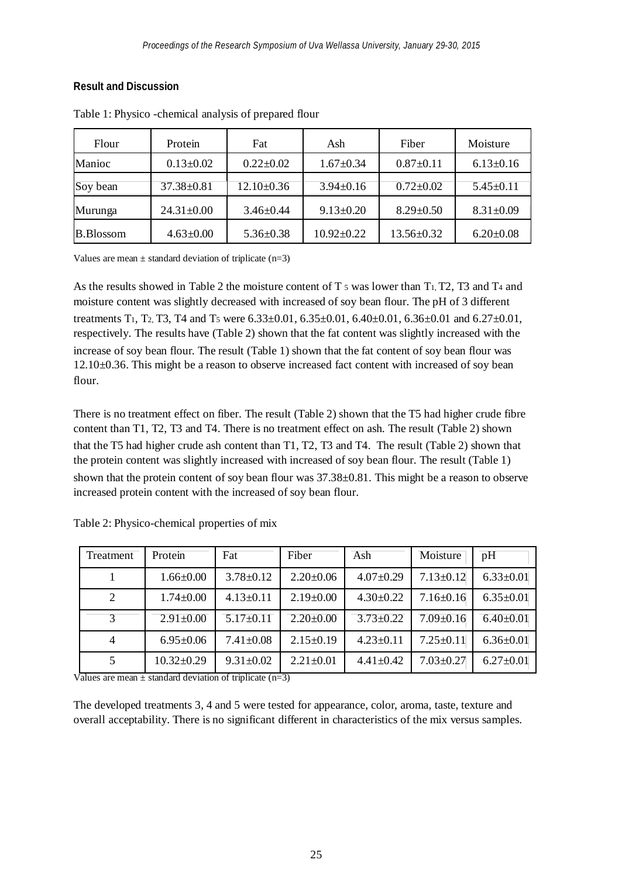#### **Result and Discussion**

| Flour            | Protein          | Fat             | Ash             | Fiber            | Moisture        |
|------------------|------------------|-----------------|-----------------|------------------|-----------------|
| Manioc           | $0.13 \pm 0.02$  | $0.22 \pm 0.02$ | $1.67 \pm 0.34$ | $0.87 \pm 0.11$  | $6.13 \pm 0.16$ |
| Soy bean         | $37.38 \pm 0.81$ | $12.10\pm0.36$  | $3.94 \pm 0.16$ | $0.72 \pm 0.02$  | $5.45 \pm 0.11$ |
| Murunga          | $24.31 \pm 0.00$ | $3.46 \pm 0.44$ | $9.13 \pm 0.20$ | $8.29 \pm 0.50$  | $8.31 \pm 0.09$ |
| <b>B.Blossom</b> | $4.63 \pm 0.00$  | $5.36 \pm 0.38$ | $10.92 + 0.22$  | $13.56 \pm 0.32$ | $6.20 \pm 0.08$ |

Table 1: Physico -chemical analysis of prepared flour

Values are mean  $\pm$  standard deviation of triplicate (n=3)

As the results showed in Table 2 the moisture content of  $T_5$  was lower than  $T_1$ ,  $T_2$ ,  $T_3$  and  $T_4$  and moisture content was slightly decreased with increased of soy bean flour. The pH of 3 different treatments T<sub>1</sub>, T<sub>2</sub>, T<sub>3</sub>, T<sub>4</sub> and T<sub>5</sub> were  $6.33\pm0.01$ ,  $6.35\pm0.01$ ,  $6.40\pm0.01$ ,  $6.36\pm0.01$  and  $6.27\pm0.01$ , respectively. The results have (Table 2) shown that the fat content was slightly increased with the increase of soy bean flour. The result (Table 1) shown that the fat content of soy bean flour was 12.10±0.36. This might be a reason to observe increased fact content with increased of soy bean flour.

There is no treatment effect on fiber. The result (Table 2) shown that the T5 had higher crude fibre content than T1, T2, T3 and T4. There is no treatment effect on ash. The result (Table 2) shown that the T5 had higher crude ash content than T1, T2, T3 and T4. The result (Table 2) shown that the protein content was slightly increased with increased of soy bean flour. The result (Table 1) shown that the protein content of soy bean flour was  $37.38\pm0.81$ . This might be a reason to observe increased protein content with the increased of soy bean flour.

| Treatment | Protein          | Fat             | Fiber           | Ash             | Moisture        | pH              |
|-----------|------------------|-----------------|-----------------|-----------------|-----------------|-----------------|
|           | $1.66 \pm 0.00$  | $3.78 \pm 0.12$ | $2.20 \pm 0.06$ | $4.07 \pm 0.29$ | $7.13 + 0.12$   | $6.33 \pm 0.01$ |
| 2         | $1.74 \pm 0.00$  | $4.13 \pm 0.11$ | $2.19+0.00$     | $4.30 \pm 0.22$ | $7.16 \pm 0.16$ | $6.35 \pm 0.01$ |
| 3         | $2.91 \pm 0.00$  | $5.17 \pm 0.11$ | $2.20 \pm 0.00$ | $3.73 \pm 0.22$ | $7.09 \pm 0.16$ | $6.40\pm0.01$   |
| 4         | $6.95 \pm 0.06$  | $7.41 \pm 0.08$ | $2.15 \pm 0.19$ | $4.23+0.11$     | $7.25 \pm 0.11$ | $6.36 \pm 0.01$ |
|           | $10.32 \pm 0.29$ | $9.31 \pm 0.02$ | $2.21 + 0.01$   | $4.41 \pm 0.42$ | $7.03 \pm 0.27$ | $6.27 \pm 0.01$ |

|  | Table 2: Physico-chemical properties of mix |  |
|--|---------------------------------------------|--|
|  |                                             |  |

Values are mean  $\pm$  standard deviation of triplicate (n=3)

The developed treatments 3, 4 and 5 were tested for appearance, color, aroma, taste, texture and overall acceptability. There is no significant different in characteristics of the mix versus samples.